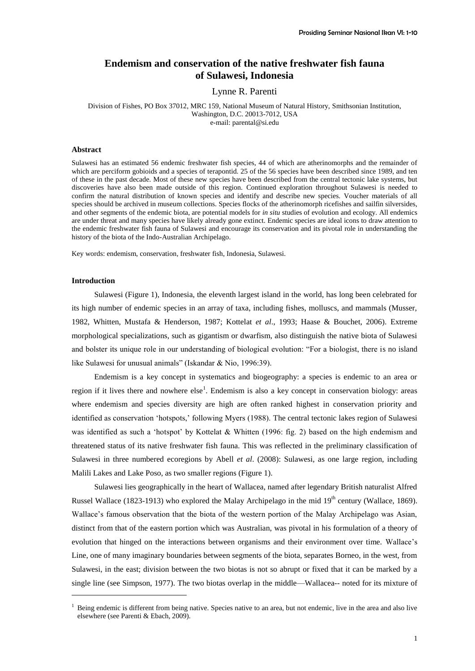# **Endemism and conservation of the native freshwater fish fauna of Sulawesi, Indonesia**

Lynne R. Parenti

Division of Fishes, PO Box 37012, MRC 159, National Museum of Natural History, Smithsonian Institution, Washington, D.C. 20013-7012, USA e-mail: parental@si.edu

### **Abstract**

Sulawesi has an estimated 56 endemic freshwater fish species, 44 of which are atherinomorphs and the remainder of which are perciform gobioids and a species of terapontid. 25 of the 56 species have been described since 1989, and ten of these in the past decade. Most of these new species have been described from the central tectonic lake systems, but discoveries have also been made outside of this region. Continued exploration throughout Sulawesi is needed to confirm the natural distribution of known species and identify and describe new species. Voucher materials of all species should be archived in museum collections. Species flocks of the atherinomorph ricefishes and sailfin silversides, and other segments of the endemic biota, are potential models for *in situ* studies of evolution and ecology. All endemics are under threat and many species have likely already gone extinct. Endemic species are ideal icons to draw attention to the endemic freshwater fish fauna of Sulawesi and encourage its conservation and its pivotal role in understanding the history of the biota of the Indo-Australian Archipelago.

Key words: endemism, conservation, freshwater fish, Indonesia, Sulawesi.

### **Introduction**

l

Sulawesi (Figure 1), Indonesia, the eleventh largest island in the world, has long been celebrated for its high number of endemic species in an array of taxa, including fishes, molluscs, and mammals (Musser, 1982, Whitten, Mustafa & Henderson, 1987; Kottelat *et al*., 1993; Haase & Bouchet, 2006). Extreme morphological specializations, such as gigantism or dwarfism, also distinguish the native biota of Sulawesi and bolster its unique role in our understanding of biological evolution: "For a biologist, there is no island like Sulawesi for unusual animals" (Iskandar & Nio, 1996:39).

Endemism is a key concept in systematics and biogeography: a species is endemic to an area or region if it lives there and nowhere else<sup>1</sup>. Endemism is also a key concept in conservation biology: areas where endemism and species diversity are high are often ranked highest in conservation priority and identified as conservation 'hotspots,' following Myers (1988). The central tectonic lakes region of Sulawesi was identified as such a 'hotspot' by Kottelat & Whitten (1996: fig. 2) based on the high endemism and threatened status of its native freshwater fish fauna. This was reflected in the preliminary classification of Sulawesi in three numbered ecoregions by Abell *et al*. (2008): Sulawesi, as one large region, including Malili Lakes and Lake Poso, as two smaller regions (Figure 1).

Sulawesi lies geographically in the heart of Wallacea, named after legendary British naturalist Alfred Russel Wallace (1823-1913) who explored the Malay Archipelago in the mid 19<sup>th</sup> century (Wallace, 1869). Wallace's famous observation that the biota of the western portion of the Malay Archipelago was Asian, distinct from that of the eastern portion which was Australian, was pivotal in his formulation of a theory of evolution that hinged on the interactions between organisms and their environment over time. Wallace's Line, one of many imaginary boundaries between segments of the biota, separates Borneo, in the west, from Sulawesi, in the east; division between the two biotas is not so abrupt or fixed that it can be marked by a single line (see Simpson, 1977). The two biotas overlap in the middle—Wallacea-- noted for its mixture of

 $<sup>1</sup>$  Being endemic is different from being native. Species native to an area, but not endemic, live in the area and also live</sup> elsewhere (see Parenti & Ebach, 2009).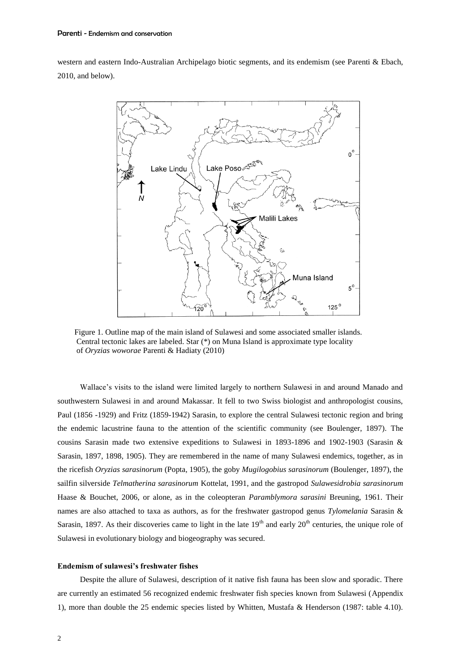western and eastern Indo-Australian Archipelago biotic segments, and its endemism (see Parenti & Ebach, 2010, and below).



Figure 1. Outline map of the main island of Sulawesi and some associated smaller islands. Central tectonic lakes are labeled. Star (\*) on Muna Island is approximate type locality of *Oryzias woworae* Parenti & Hadiaty (2010)

Wallace's visits to the island were limited largely to northern Sulawesi in and around Manado and southwestern Sulawesi in and around Makassar. It fell to two Swiss biologist and anthropologist cousins, Paul (1856 -1929) and Fritz (1859-1942) Sarasin, to explore the central Sulawesi tectonic region and bring the endemic lacustrine fauna to the attention of the scientific community (see Boulenger, 1897). The cousins Sarasin made two extensive expeditions to Sulawesi in 1893-1896 and 1902-1903 (Sarasin & Sarasin, 1897, 1898, 1905). They are remembered in the name of many Sulawesi endemics, together, as in the ricefish *Oryzias sarasinorum* (Popta, 1905), the goby *Mugilogobius sarasinorum* (Boulenger, 1897), the sailfin silverside *Telmatherina sarasinorum* Kottelat, 1991, and the gastropod *Sulawesidrobia sarasinorum* Haase & Bouchet, 2006, or alone, as in the coleopteran *Paramblymora sarasini* Breuning, 1961. Their names are also attached to taxa as authors, as for the freshwater gastropod genus *Tylomelania* Sarasin & Sarasin, 1897. As their discoveries came to light in the late  $19<sup>th</sup>$  and early  $20<sup>th</sup>$  centuries, the unique role of Sulawesi in evolutionary biology and biogeography was secured.

### **Endemism of sulawesi's freshwater fishes**

Despite the allure of Sulawesi, description of it native fish fauna has been slow and sporadic. There are currently an estimated 56 recognized endemic freshwater fish species known from Sulawesi (Appendix 1), more than double the 25 endemic species listed by Whitten, Mustafa & Henderson (1987: table 4.10).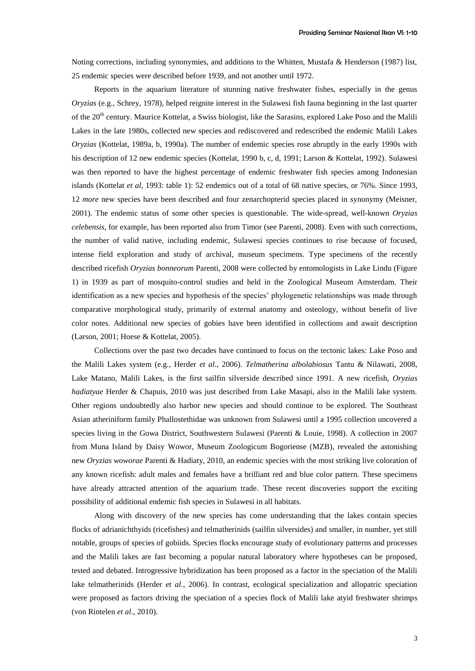Noting corrections, including synonymies, and additions to the Whitten, Mustafa & Henderson (1987) list, 25 endemic species were described before 1939, and not another until 1972.

Reports in the aquarium literature of stunning native freshwater fishes, especially in the genus *Oryzias* (e.g., Schrey, 1978), helped reignite interest in the Sulawesi fish fauna beginning in the last quarter of the 20th century. Maurice Kottelat, a Swiss biologist, like the Sarasins, explored Lake Poso and the Malili Lakes in the late 1980s, collected new species and rediscovered and redescribed the endemic Malili Lakes *Oryzias* (Kottelat, 1989a, b, 1990a). The number of endemic species rose abruptly in the early 1990s with his description of 12 new endemic species (Kottelat, 1990 b, c, d, 1991; Larson & Kottelat, 1992). Sulawesi was then reported to have the highest percentage of endemic freshwater fish species among Indonesian islands (Kottelat *et al*, 1993: table 1): 52 endemics out of a total of 68 native species, or 76%. Since 1993, 12 *more* new species have been described and four zenarchopterid species placed in synonymy (Meisner, 2001). The endemic status of some other species is questionable. The wide-spread, well-known *Oryzias celebensis*, for example, has been reported also from Timor (see Parenti, 2008). Even with such corrections, the number of valid native, including endemic, Sulawesi species continues to rise because of focused, intense field exploration and study of archival, museum specimens. Type specimens of the recently described ricefish *Oryzias bonneorum* Parenti, 2008 were collected by entomologists in Lake Lindu (Figure 1) in 1939 as part of mosquito-control studies and held in the Zoological Museum Amsterdam. Their identification as a new species and hypothesis of the species' phylogenetic relationships was made through comparative morphological study, primarily of external anatomy and osteology, without benefit of live color notes. Additional new species of gobies have been identified in collections and await description (Larson, 2001; Hoese & Kottelat, 2005).

Collections over the past two decades have continued to focus on the tectonic lakes: Lake Poso and the Malili Lakes system (e.g., Herder *et al*., 2006). *Telmatherina albolabiosus* Tantu & Nilawati, 2008, Lake Matano, Malili Lakes, is the first sailfin silverside described since 1991. A new ricefish, *Oryzias hadiatyae* Herder & Chapuis, 2010 was just described from Lake Masapi, also in the Malili lake system. Other regions undoubtedly also harbor new species and should continue to be explored. The Southeast Asian atheriniform family Phallostethidae was unknown from Sulawesi until a 1995 collection uncovered a species living in the Gowa District, Southwestern Sulawesi (Parenti & Louie, 1998). A collection in 2007 from Muna Island by Daisy Wowor, Museum Zoologicum Bogoriense (MZB), revealed the astonishing new *Oryzias woworae* Parenti & Hadiaty, 2010, an endemic species with the most striking live coloration of any known ricefish: adult males and females have a brilliant red and blue color pattern. These specimens have already attracted attention of the aquarium trade. These recent discoveries support the exciting possibility of additional endemic fish species in Sulawesi in all habitats.

Along with discovery of the new species has come understanding that the lakes contain species flocks of adrianichthyids (ricefishes) and telmatherinids (sailfin silversides) and smaller, in number, yet still notable, groups of species of gobiids. Species flocks encourage study of evolutionary patterns and processes and the Malili lakes are fast becoming a popular natural laboratory where hypotheses can be proposed, tested and debated. Introgressive hybridization has been proposed as a factor in the speciation of the Malili lake telmatherinids (Herder *et al*., 2006). In contrast, ecological specialization and allopatric speciation were proposed as factors driving the speciation of a species flock of Malili lake atyid freshwater shrimps (von Rintelen *et al*., 2010).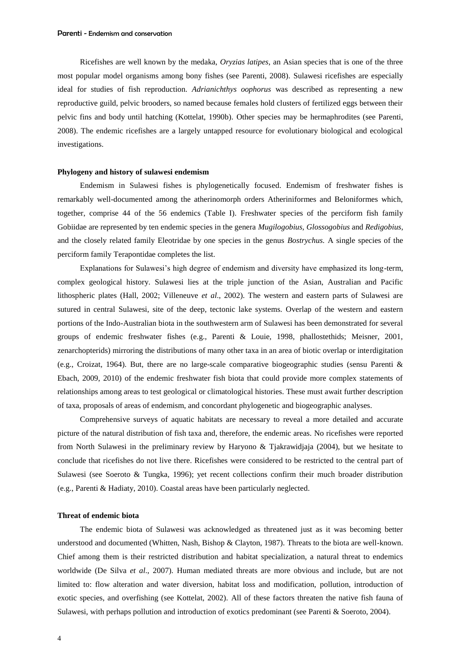Ricefishes are well known by the medaka, *Oryzias latipes*, an Asian species that is one of the three most popular model organisms among bony fishes (see Parenti, 2008). Sulawesi ricefishes are especially ideal for studies of fish reproduction. *Adrianichthys oophorus* was described as representing a new reproductive guild, pelvic brooders, so named because females hold clusters of fertilized eggs between their pelvic fins and body until hatching (Kottelat, 1990b). Other species may be hermaphrodites (see Parenti, 2008). The endemic ricefishes are a largely untapped resource for evolutionary biological and ecological investigations.

### **Phylogeny and history of sulawesi endemism**

Endemism in Sulawesi fishes is phylogenetically focused. Endemism of freshwater fishes is remarkably well-documented among the atherinomorph orders Atheriniformes and Beloniformes which, together, comprise 44 of the 56 endemics (Table I). Freshwater species of the perciform fish family Gobiidae are represented by ten endemic species in the genera *Mugilogobius, Glossogobius* and *Redigobius,*  and the closely related family Eleotridae by one species in the genus *Bostrychus.* A single species of the perciform family Terapontidae completes the list.

Explanations for Sulawesi's high degree of endemism and diversity have emphasized its long-term, complex geological history. Sulawesi lies at the triple junction of the Asian, Australian and Pacific lithospheric plates (Hall, 2002; Villeneuve *et al*., 2002). The western and eastern parts of Sulawesi are sutured in central Sulawesi, site of the deep, tectonic lake systems. Overlap of the western and eastern portions of the Indo-Australian biota in the southwestern arm of Sulawesi has been demonstrated for several groups of endemic freshwater fishes (e.g., Parenti & Louie, 1998, phallostethids; Meisner, 2001, zenarchopterids) mirroring the distributions of many other taxa in an area of biotic overlap or interdigitation (e.g., Croizat, 1964). But, there are no large-scale comparative biogeographic studies (sensu Parenti & Ebach, 2009, 2010) of the endemic freshwater fish biota that could provide more complex statements of relationships among areas to test geological or climatological histories. These must await further description of taxa, proposals of areas of endemism, and concordant phylogenetic and biogeographic analyses.

Comprehensive surveys of aquatic habitats are necessary to reveal a more detailed and accurate picture of the natural distribution of fish taxa and, therefore, the endemic areas. No ricefishes were reported from North Sulawesi in the preliminary review by Haryono & Tjakrawidjaja (2004), but we hesitate to conclude that ricefishes do not live there. Ricefishes were considered to be restricted to the central part of Sulawesi (see Soeroto & Tungka, 1996); yet recent collections confirm their much broader distribution (e.g., Parenti & Hadiaty, 2010). Coastal areas have been particularly neglected.

#### **Threat of endemic biota**

The endemic biota of Sulawesi was acknowledged as threatened just as it was becoming better understood and documented (Whitten, Nash, Bishop & Clayton, 1987). Threats to the biota are well-known. Chief among them is their restricted distribution and habitat specialization, a natural threat to endemics worldwide (De Silva *et al*., 2007). Human mediated threats are more obvious and include, but are not limited to: flow alteration and water diversion, habitat loss and modification, pollution, introduction of exotic species, and overfishing (see Kottelat, 2002). All of these factors threaten the native fish fauna of Sulawesi, with perhaps pollution and introduction of exotics predominant (see Parenti & Soeroto, 2004).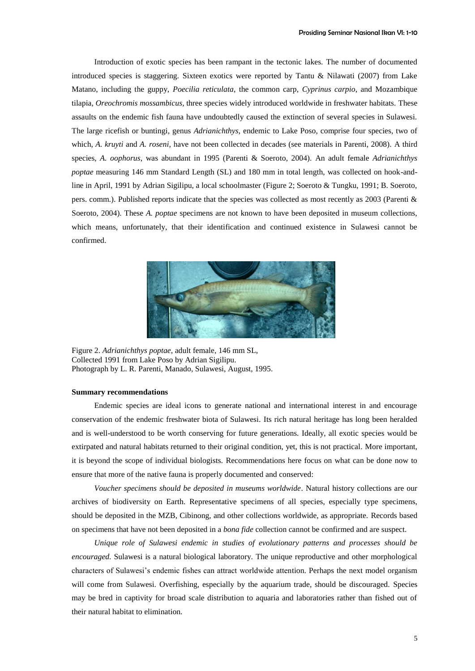Introduction of exotic species has been rampant in the tectonic lakes. The number of documented introduced species is staggering. Sixteen exotics were reported by Tantu & Nilawati (2007) from Lake Matano, including the guppy, *Poecilia reticulata*, the common carp, *Cyprinus carpio*, and Mozambique tilapia, *Oreochromis mossambicus*, three species widely introduced worldwide in freshwater habitats. These assaults on the endemic fish fauna have undoubtedly caused the extinction of several species in Sulawesi. The large ricefish or buntingi, genus *Adrianichthys*, endemic to Lake Poso, comprise four species, two of which, *A. kruyti* and *A. roseni*, have not been collected in decades (see materials in Parenti, 2008). A third species, *A. oophorus*, was abundant in 1995 (Parenti & Soeroto, 2004). An adult female *Adrianichthys poptae* measuring 146 mm Standard Length (SL) and 180 mm in total length, was collected on hook-andline in April, 1991 by Adrian Sigilipu, a local schoolmaster (Figure 2; Soeroto & Tungku, 1991; B. Soeroto, pers. comm.). Published reports indicate that the species was collected as most recently as 2003 (Parenti & Soeroto, 2004). These *A. poptae* specimens are not known to have been deposited in museum collections, which means, unfortunately, that their identification and continued existence in Sulawesi cannot be confirmed.



Figure 2. *Adrianichthys poptae*, adult female, 146 mm SL, Collected 1991 from Lake Poso by Adrian Sigilipu. Photograph by L. R. Parenti, Manado, Sulawesi, August, 1995.

#### **Summary recommendations**

Endemic species are ideal icons to generate national and international interest in and encourage conservation of the endemic freshwater biota of Sulawesi. Its rich natural heritage has long been heralded and is well-understood to be worth conserving for future generations. Ideally, all exotic species would be extirpated and natural habitats returned to their original condition, yet, this is not practical. More important, it is beyond the scope of individual biologists. Recommendations here focus on what can be done now to ensure that more of the native fauna is properly documented and conserved:

*Voucher specimens should be deposited in museums worldwide*. Natural history collections are our archives of biodiversity on Earth. Representative specimens of all species, especially type specimens, should be deposited in the MZB, Cibinong, and other collections worldwide, as appropriate. Records based on specimens that have not been deposited in a *bona fide* collection cannot be confirmed and are suspect.

*Unique role of Sulawesi endemic in studies of evolutionary patterns and processes should be encouraged.* Sulawesi is a natural biological laboratory. The unique reproductive and other morphological characters of Sulawesi's endemic fishes can attract worldwide attention. Perhaps the next model organism will come from Sulawesi. Overfishing, especially by the aquarium trade, should be discouraged. Species may be bred in captivity for broad scale distribution to aquaria and laboratories rather than fished out of their natural habitat to elimination.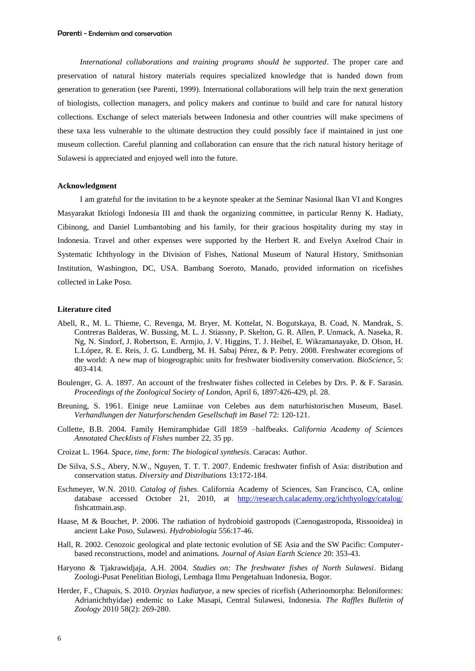*International collaborations and training programs should be supported*. The proper care and preservation of natural history materials requires specialized knowledge that is handed down from generation to generation (see Parenti, 1999). International collaborations will help train the next generation of biologists, collection managers, and policy makers and continue to build and care for natural history collections. Exchange of select materials between Indonesia and other countries will make specimens of these taxa less vulnerable to the ultimate destruction they could possibly face if maintained in just one museum collection. Careful planning and collaboration can ensure that the rich natural history heritage of Sulawesi is appreciated and enjoyed well into the future.

#### **Acknowledgment**

I am grateful for the invitation to be a keynote speaker at the Seminar Nasional Ikan VI and Kongres Masyarakat Iktiologi Indonesia III and thank the organizing committee, in particular Renny K. Hadiaty, Cibinong, and Daniel Lumbantobing and his family, for their gracious hospitality during my stay in Indonesia. Travel and other expenses were supported by the Herbert R. and Evelyn Axelrod Chair in Systematic Ichthyology in the Division of Fishes, National Museum of Natural History, Smithsonian Institution, Washington, DC, USA. Bambang Soeroto, Manado, provided information on ricefishes collected in Lake Poso.

## **Literature cited**

- Abell, R., M. L. Thieme, C. Revenga, M. Bryer, M. Kottelat, N. Bogutskaya, B. Coad, N. Mandrak, S. Contreras Balderas, W. Bussing, M. L. J. Stiassny, P. Skelton, G. R. Allen, P. Unmack, A. Naseka, R. Ng, N. Sindorf, J. Robertson, E. Armjio, J. V. Higgins, T. J. Heibel, E. Wikramanayake, D. Olson, H. L.López, R. E. Reis, J. G. Lundberg, M. H. Sabaj Pérez, & P. Petry. 2008. Freshwater ecoregions of the world: A new map of biogeographic units for freshwater biodiversity conservation. *BioScience*, 5: 403-414.
- Boulenger, G. A. 1897. An account of the freshwater fishes collected in Celebes by Drs. P. & F. Sarasin. *Proceedings of the Zoological Society of London*, April 6, 1897:426-429, pl. 28.
- Breuning, S. 1961. Einige neue Lamiinae von Celebes aus dem naturhistorischen Museum, Basel. *Verhandlungen der Naturforschenden Gesellschaft im Basel* 72: 120-121.
- Collette, B.B. 2004. Family Hemiramphidae Gill 1859 –halfbeaks. *California Academy of Sciences Annotated Checklists of Fishes* number 22, 35 pp.
- Croizat L. 1964. *Space, time, form: The biological synthesis*. Caracas: Author.
- De Silva, S.S., Abery, N.W., Nguyen, T. T. T. 2007. Endemic freshwater finfish of Asia: distribution and conservation status. *Diversity and Distributions* 13:172-184.
- Eschmeyer, W.N. 2010. *Catalog of fishes*. California Academy of Sciences, San Francisco, CA, online database accessed October 21, 2010, at <http://research.calacademy.org/ichthyology/catalog/> fishcatmain.asp.
- Haase, M & Bouchet, P. 2006. The radiation of hydrobioid gastropods (Caenogastropoda, Rissooidea) in ancient Lake Poso, Sulawesi. *Hydrobiologia* 556:17-46.
- Hall, R. 2002. Cenozoic geological and plate tectonic evolution of SE Asia and the SW Pacific: Computerbased reconstructions, model and animations. *Journal of Asian Earth Science* 20: 353-43.
- Haryono & Tjakrawidjaja, A.H. 2004. *Studies on: The freshwater fishes of North Sulawesi*. Bidang Zoologi-Pusat Penelitian Biologi, Lembaga Ilmu Pengetahuan Indonesia, Bogor.
- Herder, F., Chapuis, S. 2010. *Oryzias hadiatyae*, a new species of ricefish (Atherinomorpha: Beloniformes: Adrianichthyidae) endemic to Lake Masapi, Central Sulawesi, Indonesia. *The Raffles Bulletin of Zoology* 2010 58(2): 269-280.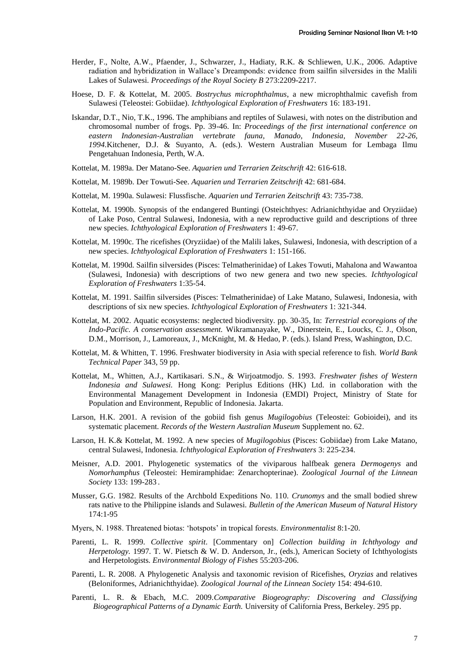- Herder, F., Nolte, A.W., Pfaender, J., Schwarzer, J., Hadiaty, R.K. & Schliewen, U.K., 2006. Adaptive radiation and hybridization in Wallace's Dreamponds: evidence from sailfin silversides in the Malili Lakes of Sulawesi. *Proceedings of the Royal Society B* 273:2209-2217.
- Hoese, D. F. & Kottelat, M. 2005. *Bostrychus microphthalmus*, a new microphthalmic cavefish from Sulawesi (Teleostei: Gobiidae). *Ichthyological Exploration of Freshwaters* 16: 183-191.
- Iskandar, D.T., Nio, T.K., 1996. The amphibians and reptiles of Sulawesi, with notes on the distribution and chromosomal number of frogs. Pp. 39-46. In: *Proceedings of the first international conference on eastern Indonesian-Australian vertebrate fauna, Manado, Indonesia, November 22-26, 1994.*Kitchener, D.J. & Suyanto, A. (eds.). Western Australian Museum for Lembaga Ilmu Pengetahuan Indonesia, Perth, W.A.
- Kottelat, M. 1989a. Der Matano-See. *Aquarien und Terrarien Zeitschrift* 42: 616-618.
- Kottelat, M. 1989b. Der Towuti-See. *Aquarien und Terrarien Zeitschrift* 42: 681-684.
- Kottelat, M. 1990a. Sulawesi: Flussfische. *Aquarien und Terrarien Zeitschrift* 43: 735-738.
- Kottelat, M. 1990b. Synopsis of the endangered Buntingi (Osteichthyes: Adrianichthyidae and Oryziidae) of Lake Poso, Central Sulawesi, Indonesia, with a new reproductive guild and descriptions of three new species. *Ichthyological Exploration of Freshwaters* 1: 49-67.
- Kottelat, M. 1990c. The ricefishes (Oryziidae) of the Malili lakes, Sulawesi, Indonesia, with description of a new species. *Ichthyological Exploration of Freshwaters* 1: 151-166.
- Kottelat, M. 1990d. Sailfin silversides (Pisces: Telmatherinidae) of Lakes Towuti, Mahalona and Wawantoa (Sulawesi, Indonesia) with descriptions of two new genera and two new species. *Ichthyological Exploration of Freshwaters* 1:35-54.
- Kottelat, M. 1991. Sailfin silversides (Pisces: Telmatherinidae) of Lake Matano, Sulawesi, Indonesia, with descriptions of six new species. *Ichthyological Exploration of Freshwaters* 1: 321-344.
- Kottelat, M. 2002. Aquatic ecosystems: neglected biodiversity. pp. 30-35, In: *Terrestrial ecoregions of the Indo-Pacific. A conservation assessment.* Wikramanayake, W., Dinerstein, E., Loucks, C. J., Olson, D.M., Morrison, J., Lamoreaux, J., McKnight, M. & Hedao, P. (eds.). Island Press, Washington, D.C.
- Kottelat, M. & Whitten, T. 1996. Freshwater biodiversity in Asia with special reference to fish. *World Bank Technical Paper* 343, 59 pp.
- Kottelat, M., Whitten, A.J., Kartikasari. S.N., & Wirjoatmodjo. S. 1993. *Freshwater fishes of Western Indonesia and Sulawesi.* Hong Kong: Periplus Editions (HK) Ltd. in collaboration with the Environmental Management Development in Indonesia (EMDI) Project, Ministry of State for Population and Environment, Republic of Indonesia. Jakarta.
- Larson, H.K. 2001. A revision of the gobiid fish genus *Mugilogobius* (Teleostei: Gobioidei), and its systematic placement. *Records of the Western Australian Museum* Supplement no. 62.
- Larson, H. K.& Kottelat, M. 1992. A new species of *Mugilogobius* (Pisces: Gobiidae) from Lake Matano, central Sulawesi, Indonesia. *Ichthyological Exploration of Freshwaters* 3: 225-234.
- Meisner, A.D. 2001. Phylogenetic systematics of the viviparous halfbeak genera *Dermogenys* and *Nomorhamphus* (Teleostei: Hemiramphidae: Zenarchopterinae). *Zoological Journal of the Linnean Society* 133: 199-283 .
- Musser, G.G. 1982. Results of the Archbold Expeditions No. 110. *Crunomys* and the small bodied shrew rats native to the Philippine islands and Sulawesi. *Bulletin of the American Museum of Natural History*  174:1-95
- Myers, N. 1988. Threatened biotas: ‗hotspots' in tropical forests. *Environmentalist* 8:1-20.
- Parenti, L. R. 1999. *Collective spirit*. [Commentary on] *Collection building in Ichthyology and Herpetology.* 1997*.* T. W. Pietsch & W. D. Anderson, Jr., (eds.), American Society of Ichthyologists and Herpetologists*. Environmental Biology of Fishes* 55:203-206.
- Parenti, L. R. 2008. A Phylogenetic Analysis and taxonomic revision of Ricefishes, *Oryzias* and relatives (Beloniformes, Adrianichthyidae). *Zoological Journal of the Linnean Society* 154: 494-610.
- Parenti, L. R. & Ebach, M.C. 2009.*Comparative Biogeography: Discovering and Classifying Biogeographical Patterns of a Dynamic Earth.* University of California Press, Berkeley. 295 pp.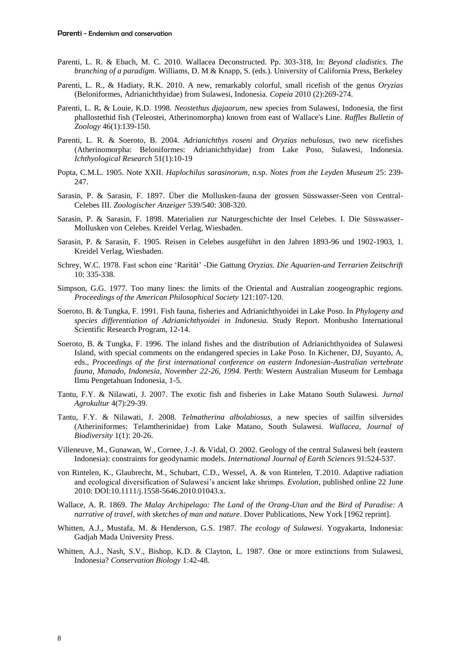- Parenti, L. R. & Ebach, M. C. 2010. Wallacea Deconstructed. Pp. 303-318, In: *Beyond cladistics. The branching of a paradigm.* Williams, D. M & Knapp, S. (eds.). University of California Press, Berkeley
- Parenti, L. R., & Hadiaty, R.K. 2010. A new, remarkably colorful, small ricefish of the genus *Oryzias* (Beloniformes, Adrianichthyidae) from Sulawesi, Indonesia. *Copeia* 2010 (2):269-274.
- Parenti, L. R**.** & Louie, K.D. 1998*. Neostethus djajaorum*, new species from Sulawesi, Indonesia, the first phallostethid fish (Teleostei, Atherinomorpha) known from east of Wallace's Line. *Raffles Bulletin of Zoology* 46(1):139-150.
- Parenti, L. R. & Soeroto, B. 2004. *Adrianichthys roseni* and *Oryzias nebulosus*, two new ricefishes (Atherinomorpha: Beloniformes: Adrianichthyidae) from Lake Poso, Sulawesi, Indonesia. *Ichthyological Research* 51(1):10-19
- Popta, C.M.L. 1905. Note XXII. *Haplochilus sarasinorum*, n.sp. *Notes from the Leyden Museum* 25: 239- 247.
- Sarasin, P. & Sarasin, F. 1897. Über die Mollusken-fauna der grossen Süsswasser-Seen von Central-Celebes III. *Zoologischer Anzeiger* 539/540: 308-320.
- Sarasin, P. & Sarasin, F. 1898. Materialien zur Naturgeschichte der Insel Celebes. I. Die Süsswasser-Mollusken von Celebes. Kreidel Verlag, Wiesbaden.
- Sarasin, P. & Sarasin, F. 1905. Reisen in Celebes ausgeführt in den Jahren 1893-96 und 1902-1903, 1. Kreidel Verlag, Wiesbaden.
- Schrey, W.C. 1978. Fast schon eine ‗Rarität' -Die Gattung *Oryzias*. *Die Aquarien-und Terrarien Zeitschrift*  10: 335-338.
- Simpson, G.G. 1977. Too many lines: the limits of the Oriental and Australian zoogeographic regions. *Proceedings of the American Philosophical Society* 121:107-120.
- Soeroto, B. & Tungka, F. 1991. Fish fauna, fisheries and Adrianichthyoidei in Lake Poso. In *Phylogeny and species differentiation of Adrianichthyoidei in Indonesia.* Study Report. Monbusho International Scientific Research Program, 12-14.
- Soeroto, B. & Tungka, F. 1996. The inland fishes and the distribution of Adrianichthyoidea of Sulawesi Island, with special comments on the endangered species in Lake Poso. In Kichener, DJ, Suyanto, A, eds., *Proceedings of the first international conference on eastern Indonesian-Australian vertebrate fauna, Manado, Indonesia, November 22-26, 1994.* Perth: Western Australian Museum for Lembaga Ilmu Pengetahuan Indonesia, 1-5.
- Tantu, F.Y. & Nilawati, J. 2007. The exotic fish and fisheries in Lake Matano South Sulawesi. *Jurnal Agrokultur* 4(7):29-39.
- Tantu, F.Y. & Nilawati, J. 2008. *Telmatherina albolabiosus*, a new species of sailfin silversides (Atheriniformes: Telamtherinidae) from Lake Matano, South Sulawesi. *Wallacea, Journal of Biodiversity* 1(1): 20-26.
- Villeneuve, M., Gunawan, W., Cornee, J.-J. & Vidal, O. 2002. Geology of the central Sulawesi belt (eastern Indonesia): constraints for geodynamic models. *International Journal of Earth Sciences* 91:524-537.
- von Rintelen, K., Glaubrecht, M., Schubart, C.D., Wessel, A. & von Rintelen, T.2010. Adaptive radiation and ecological diversification of Sulawesi's ancient lake shrimps. *Evolution*, published online 22 June 2010: DOI:10.1111/j.1558-5646.2010.01043.x.
- Wallace, A. R. 1869. *The Malay Archipelago: The Land of the Orang-Utan and the Bird of Paradise: A narrative of travel, with sketches of man and nature*. Dover Publications, New York [1962 reprint].
- Whitten, A.J., Mustafa, M. & Henderson, G.S. 1987. *The ecology of Sulawesi.* Yogyakarta, Indonesia: Gadjah Mada University Press.
- Whitten, A.J., Nash, S.V., Bishop, K.D. & Clayton, L. 1987. One or more extinctions from Sulawesi, Indonesia? *Conservation Biology* 1:42-48.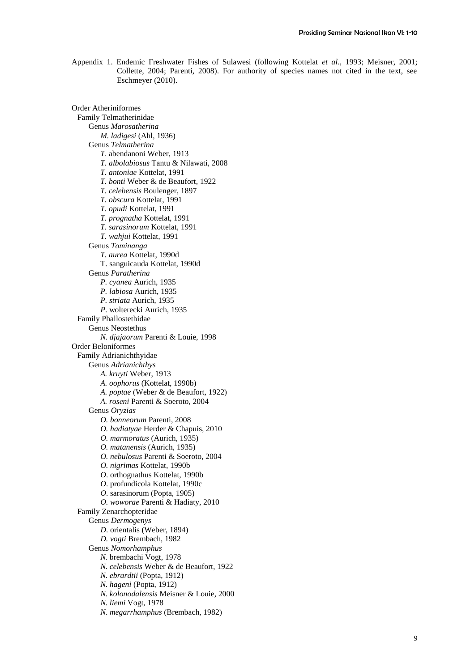Appendix 1. Endemic Freshwater Fishes of Sulawesi (following Kottelat *et al*., 1993; Meisner, 2001; Collette, 2004; Parenti, 2008). For authority of species names not cited in the text, see Eschmeyer (2010).

Order Atheriniformes Family Telmatherinidae Genus *Marosatherina M. ladigesi* (Ahl, 1936) Genus *Telmatherina T*. abendanoni Weber, 1913 *T. albolabiosus* Tantu & Nilawati, 2008 *T. antoniae* Kottelat, 1991 *T. bonti* Weber & de Beaufort, 1922 *T. celebensis* Boulenger, 1897 *T. obscura* Kottelat, 1991 *T. opudi* Kottelat, 1991 *T. prognatha* Kottelat, 1991 *T. sarasinorum* Kottelat, 1991 *T. wahjui* Kottelat, 1991 Genus *Tominanga T. aurea* Kottelat, 1990d T. sanguicauda Kottelat, 1990d Genus *Paratherina P. cyanea* Aurich, 1935 *P. labiosa* Aurich, 1935 *P. striata* Aurich, 1935 *P*. wolterecki Aurich, 1935 Family Phallostethidae Genus Neostethus *N. djajaorum* Parenti & Louie, 1998 Order Beloniformes Family Adrianichthyidae Genus *Adrianichthys A. kruyti* Weber, 1913 *A. oophorus* (Kottelat, 1990b) *A. poptae* (Weber & de Beaufort, 1922) *A. roseni* Parenti & Soeroto, 2004 Genus *Oryzias O. bonneorum* Parenti, 2008 *O. hadiatyae* Herder & Chapuis, 2010 *O. marmoratus* (Aurich, 1935) *O. matanensis* (Aurich, 1935) *O. nebulosus* Parenti & Soeroto, 2004 *O. nigrimas* Kottelat, 1990b *O*. orthognathus Kottelat, 1990b *O*. profundicola Kottelat, 1990c *O*. sarasinorum (Popta, 1905) *O. woworae* Parenti & Hadiaty, 2010 Family Zenarchopteridae Genus *Dermogenys D*. orientalis (Weber, 1894) *D. vogti* Brembach, 1982 Genus *Nomorhamphus N*. brembachi Vogt, 1978 *N. celebensis* Weber & de Beaufort, 1922 *N. ebrardtii* (Popta, 1912) *N. hageni* (Popta, 1912) *N. kolonodalensis* Meisner & Louie, 2000 *N. liemi* Vogt, 1978 *N*. *megarrhamphus* (Brembach, 1982)